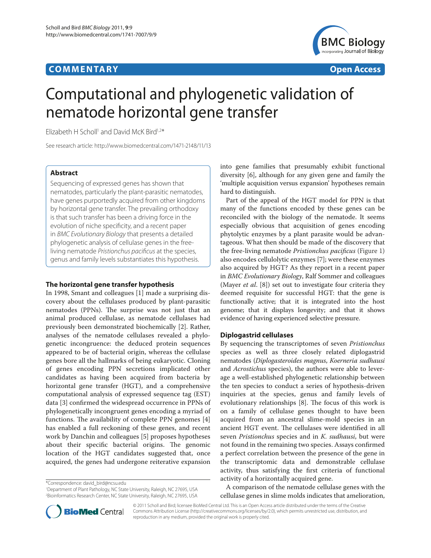## **COMMENTARY COMMENTARY Open Access**



# Computational and phylogenetic validation of nematode horizontal gene transfer

Elizabeth H Scholl<sup>1</sup> and David McK Bird<sup>1,2\*</sup>

See research article: http://www.biomedcentral.com/1471-2148/11/13

## **Abstract**

Sequencing of expressed genes has shown that nematodes, particularly the plant-parasitic nematodes, have genes purportedly acquired from other kingdoms by horizontal gene transfer. The prevailing orthodoxy is that such transfer has been a driving force in the evolution of niche specificity, and a recent paper in *BMC Evolutionary Biology* that presents a detailed phylogenetic analysis of cellulase genes in the freeliving nematode *Pristionchus pacificus* at the species, genus and family levels substantiates this hypothesis.

## **The horizontal gene transfer hypothesis**

In 1998, Smant and colleagues [1] made a surprising discovery about the cellulases produced by plant-parasitic nematodes (PPNs). The surprise was not just that an animal produced cellulase, as nematode cellulases had previously been demonstrated biochemically [2]. Rather, analyses of the nematode cellulases revealed a phylogenetic incongruence: the deduced protein sequences appeared to be of bacterial origin, whereas the cellulase genes bore all the hallmarks of being eukaryotic. Cloning of genes encoding PPN secretions implicated other candidates as having been acquired from bacteria by horizontal gene transfer (HGT), and a comprehensive computational analysis of expressed sequence tag (EST) data [3] confirmed the widespread occurrence in PPNs of phylogenetically incongruent genes encoding a myriad of functions. The availability of complete PPN genomes [4] has enabled a full reckoning of these genes, and recent work by Danchin and colleagues [5] proposes hypotheses about their specific bacterial origins. The genomic location of the HGT candidates suggested that, once acquired, the genes had undergone reiterative expansion

\*Correspondence: david\_bird@ncsu.edu

1 Department of Plant Pathology, NC State University, Raleigh, NC 27695, USA 2 Bioinformatics Research Center, NC State University, Raleigh, NC 27695, USA

into gene families that presumably exhibit functional diversity [6], although for any given gene and family the 'multiple acquisition versus expansion' hypotheses remain hard to distinguish.

Part of the appeal of the HGT model for PPN is that many of the functions encoded by these genes can be reconciled with the biology of the nematode. It seems especially obvious that acquisition of genes encoding phytolytic enzymes by a plant parasite would be advantageous. What then should be made of the discovery that the free-living nematode *Pristionchus pacificus* (Figure 1) also encodes cellulolytic enzymes [7]; were these enzymes also acquired by HGT? As they report in a recent paper in *BMC Evolutionary Biology*, Ralf Sommer and colleagues (Mayer *et al*. [8]) set out to investigate four criteria they deemed requisite for successful HGT: that the gene is functionally active; that it is integrated into the host genome; that it displays longevity; and that it shows evidence of having experienced selective pressure.

## **Diplogastrid cellulases**

By sequencing the transcriptomes of seven *Pristionchus* species as well as three closely related diplogastrid nematodes (*Diplogasteroides magnus*, *Koerneria sudhausi* and *Acrostichus* species), the authors were able to leverage a well-established phylogenetic relationship between the ten species to conduct a series of hypothesis-driven inquiries at the species, genus and family levels of evolutionary relationships [8]. The focus of this work is on a family of cellulase genes thought to have been acquired from an ancestral slime-mold species in an ancient HGT event. The cellulases were identified in all seven *Pristionchus* species and in *K. sudhausi*, but were not found in the remaining two species. Assays confirmed a perfect correlation between the presence of the gene in the transcriptomic data and demonstrable cellulase activity, thus satisfying the first criteria of functional activity of a horizontally acquired gene.

A comparison of the nematode cellulase genes with the cellulase genes in slime molds indicates that amelioration,



© 2011 Scholl and Bird; licensee BioMed Central Ltd. This is an Open Access article distributed under the terms of the Creative Commons Attribution License (http://creativecommons.org/licenses/by/2.0), which permits unrestricted use, distribution, and reproduction in any medium, provided the original work is properly cited.